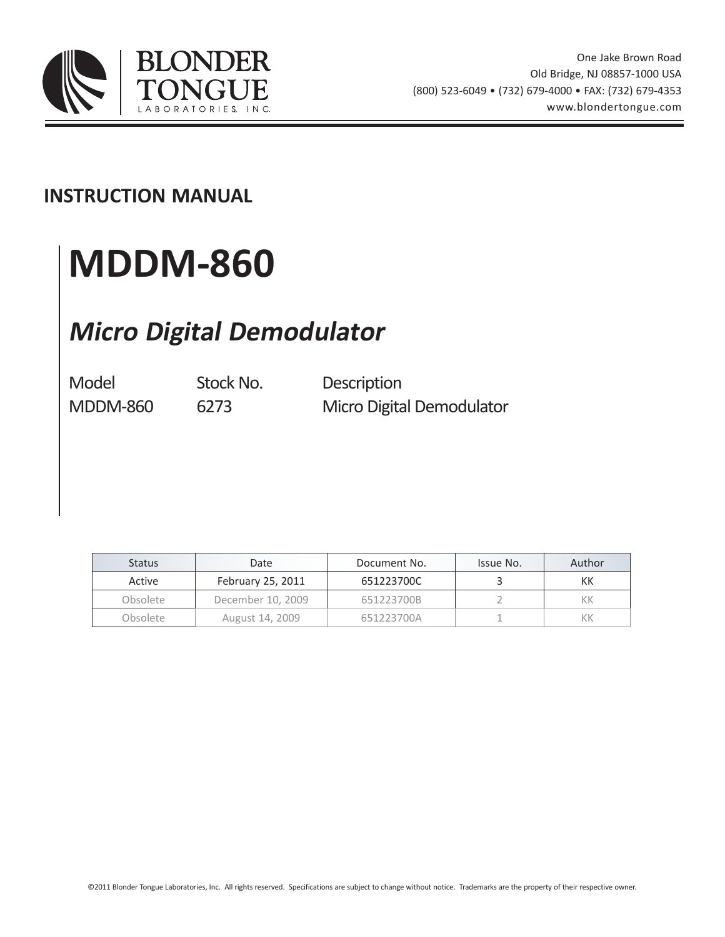

### **INSTRUCTION MANUAL**

# **MDDM-860**

# **Micro Digital Demodulator**

Model Stock No. Description MDDM-860 6273 Micro Digital Demodulator

| <b>Status</b> | Date              | Document No. | Issue No. | Author |
|---------------|-------------------|--------------|-----------|--------|
| Active        | February 25, 2011 | 651223700C   |           | КK     |
| Obsolete      | December 10, 2009 | 651223700B   |           | КK     |
| Obsolete      | August 14, 2009   | 651223700A   |           |        |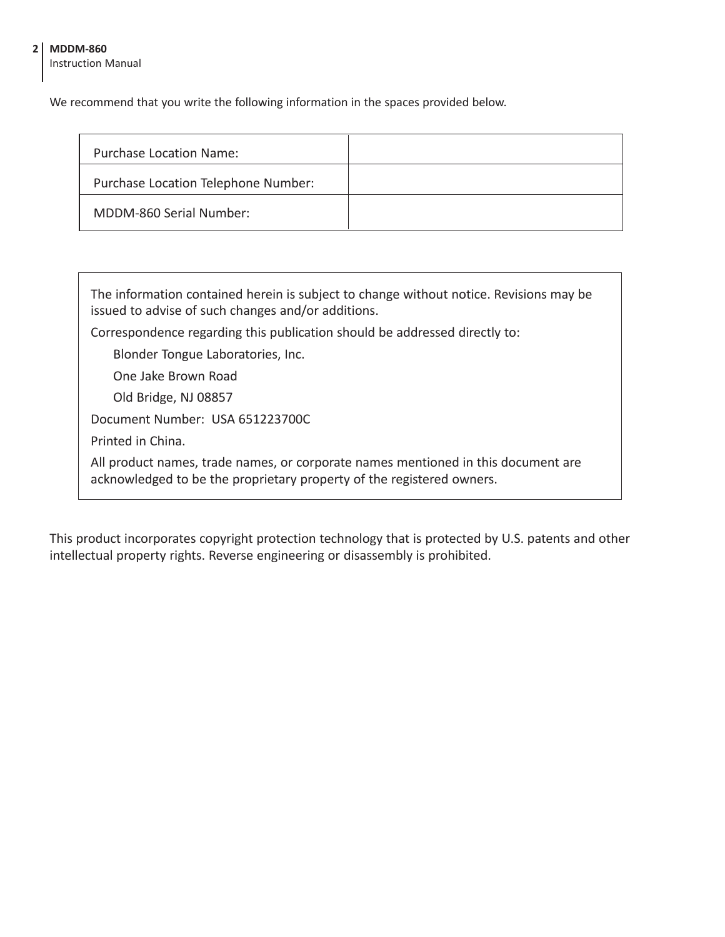#### **2 MDDM-860**

Instruction Manual

We recommend that you write the following information in the spaces provided below.

| <b>Purchase Location Name:</b>      |  |
|-------------------------------------|--|
| Purchase Location Telephone Number: |  |
| MDDM-860 Serial Number:             |  |

| The information contained herein is subject to change without notice. Revisions may be<br>issued to advise of such changes and/or additions.               |  |  |  |
|------------------------------------------------------------------------------------------------------------------------------------------------------------|--|--|--|
| Correspondence regarding this publication should be addressed directly to:                                                                                 |  |  |  |
| Blonder Tongue Laboratories, Inc.                                                                                                                          |  |  |  |
| One Jake Brown Road                                                                                                                                        |  |  |  |
| Old Bridge, NJ 08857                                                                                                                                       |  |  |  |
| Document Number: USA 651223700C                                                                                                                            |  |  |  |
| Printed in China.                                                                                                                                          |  |  |  |
| All product names, trade names, or corporate names mentioned in this document are<br>acknowledged to be the proprietary property of the registered owners. |  |  |  |

This product incorporates copyright protection technology that is protected by U.S. patents and other intellectual property rights. Reverse engineering or disassembly is prohibited.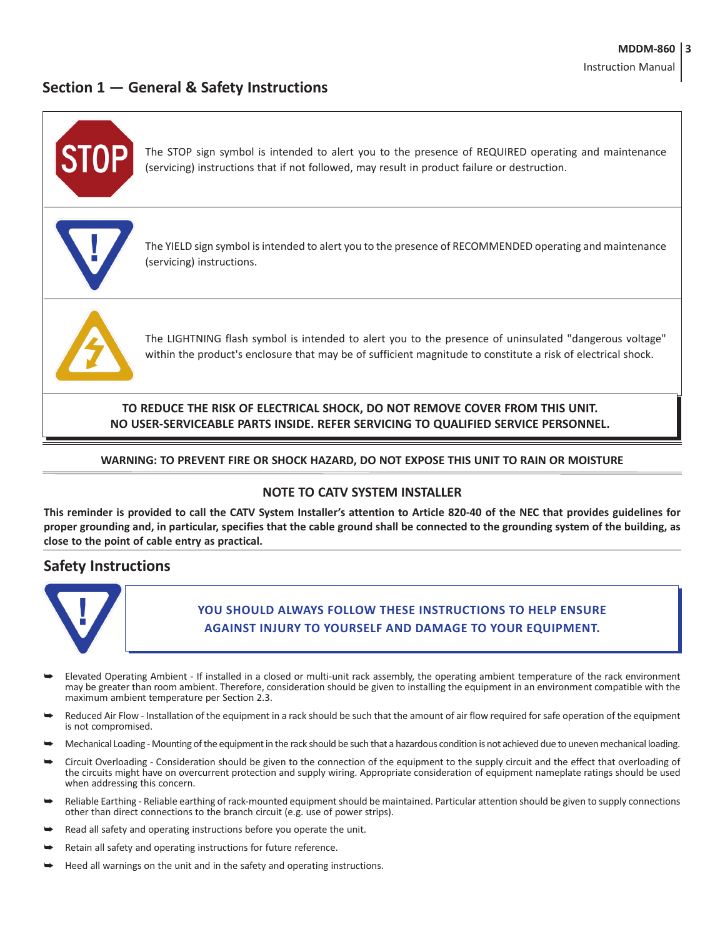#### **Section 1 — General & Safety Instructions**



#### **WARNING: TO PREVENT FIRE OR SHOCK HAZARD, DO NOT EXPOSE THIS UNIT TO RAIN OR MOISTURE**

#### **NOTE TO CATV SYSTEM INSTALLER**

This reminder is provided to call the CATV System Installer's attention to Article 820-40 of the NEC that provides guidelines for proper grounding and, in particular, specifies that the cable ground shall be connected to the grounding system of the building, as **close to the point of cable entry as practical.**

#### **Safety Instructions**



#### **You should always follow these instructions to help ensure Against injury to yourself and damage your equipment.**

- Elevated Operating Ambient If installed in a closed or multi-unit rack assembly, the operating ambient temperature of the rack environment may be greater than room ambient. Therefore, consideration should be given to installing the equipment in an environment compatible with the maximum ambient temperature per Section 2.3.
- Reduced Air Flow Installation of the equipment in a rack should be such that the amount of air flow required for safe operation of the equipment is not compromised.
- Mechanical Loading Mounting of the equipment in the rack should be such that a hazardous condition is not achieved due to uneven mechanical loading.
- Circuit Overloading Consideration should be given to the connection of the equipment to the supply circuit and the effect that overloading of the circuits might have on overcurrent protection and supply wiring. Appropriate consideration of equipment nameplate ratings should be used when addressing this concern.
- Reliable Earthing Reliable earthing of rack-mounted equipment should be maintained. Particular attention should be given to supply connections other than direct connections to the branch circuit (e.g. use of power strips).
- Read all safety and operating instructions before you operate the unit.
- Retain all safety and operating instructions for future reference.
- Heed all warnings on the unit and in the safety and operating instructions.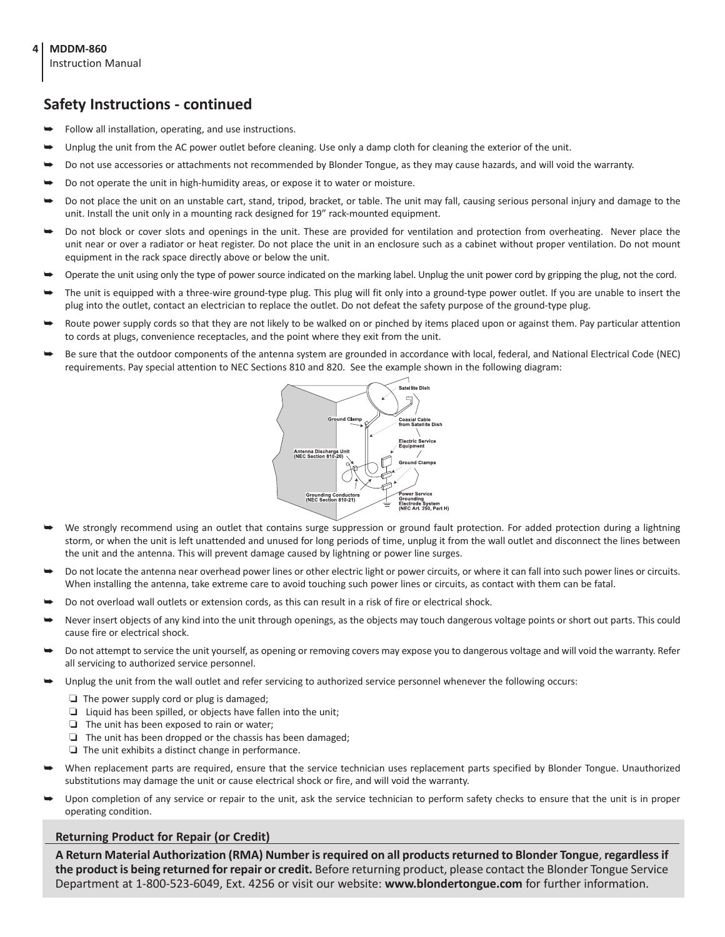Instruction Manual

#### **Safety Instructions - continued**

- Follow all installation, operating, and use instructions.
- Unplug the unit from the AC power outlet before cleaning. Use only a damp cloth for cleaning the exterior of the unit.
- Do not use accessories or attachments not recommended by Blonder Tongue, as they may cause hazards, and will void the warranty.
- Do not operate the unit in high-humidity areas, or expose it to water or moisture.
- Do not place the unit on an unstable cart, stand, tripod, bracket, or table. The unit may fall, causing serious personal injury and damage to the unit. Install the unit only in a mounting rack designed for 19" rack-mounted equipment.
- Do not block or cover slots and openings in the unit. These are provided for ventilation and protection from overheating. Never place the unit near or over a radiator or heat register. Do not place the unit in an enclosure such as a cabinet without proper ventilation. Do not mount equipment in the rack space directly above or below the unit.
- Operate the unit using only the type of power source indicated on the marking label. Unplug the unit power cord by gripping the plug, not the cord.
- The unit is equipped with a three-wire ground-type plug. This plug will fit only into a ground-type power outlet. If you are unable to insert the plug into the outlet, contact an electrician to replace the outlet. Do not defeat the safety purpose of the ground-type plug.
- Route power supply cords so that they are not likely to be walked on or pinched by items placed upon or against them. Pay particular attention to cords at plugs, convenience receptacles, and the point where they exit from the unit.
- Be sure that the outdoor components of the antenna system are grounded in accordance with local, federal, and National Electrical Code (NEC) requirements. Pay special attention to NEC Sections 810 and 820. See the example shown in the following diagram:



- We strongly recommend using an outlet that contains surge suppression or ground fault protection. For added protection during a lightning storm, or when the unit is left unattended and unused for long periods of time, unplug it from the wall outlet and disconnect the lines between the unit and the antenna. This will prevent damage caused by lightning or power line surges.
- Do not locate the antenna near overhead power lines or other electric light or power circuits, or where it can fall into such power lines or circuits. When installing the antenna, take extreme care to avoid touching such power lines or circuits, as contact with them can be fatal.
- Do not overload wall outlets or extension cords, as this can result in a risk of fire or electrical shock.
- Never insert objects of any kind into the unit through openings, as the objects may touch dangerous voltage points or short out parts. This could cause fire or electrical shock.
- Do not attempt to service the unit yourself, as opening or removing covers may expose you to dangerous voltage and will void the warranty. Refer all servicing to authorized service personnel.
- Unplug the unit from the wall outlet and refer servicing to authorized service personnel whenever the following occurs:
	- ❏ The power supply cord or plug is damaged;
	- ❏ Liquid has been spilled, or objects have fallen into the unit;
	- ❏ The unit has been exposed to rain or water;
	- ❏ The unit has been dropped or the chassis has been damaged;
	- ❏ The unit exhibits a distinct change in performance.
- When replacement parts are required, ensure that the service technician uses replacement parts specified by Blonder Tongue. Unauthorized substitutions may damage the unit or cause electrical shock or fire, and will void the warranty.
- Upon completion of any service or repair to the unit, ask the service technician to perform safety checks to ensure that the unit is in proper operating condition.

#### **Returning Product for Repair (or Credit)**

**A Return Material Authorization (RMA) Number isrequired on all productsreturned to Blonder Tongue**, **regardlessif the product is being returned for repair or credit.** Before returning product, please contact the Blonder Tongue Service Department at 1-800-523-6049, Ext. 4256 or visit our website: **www.blondertongue.com** for further information.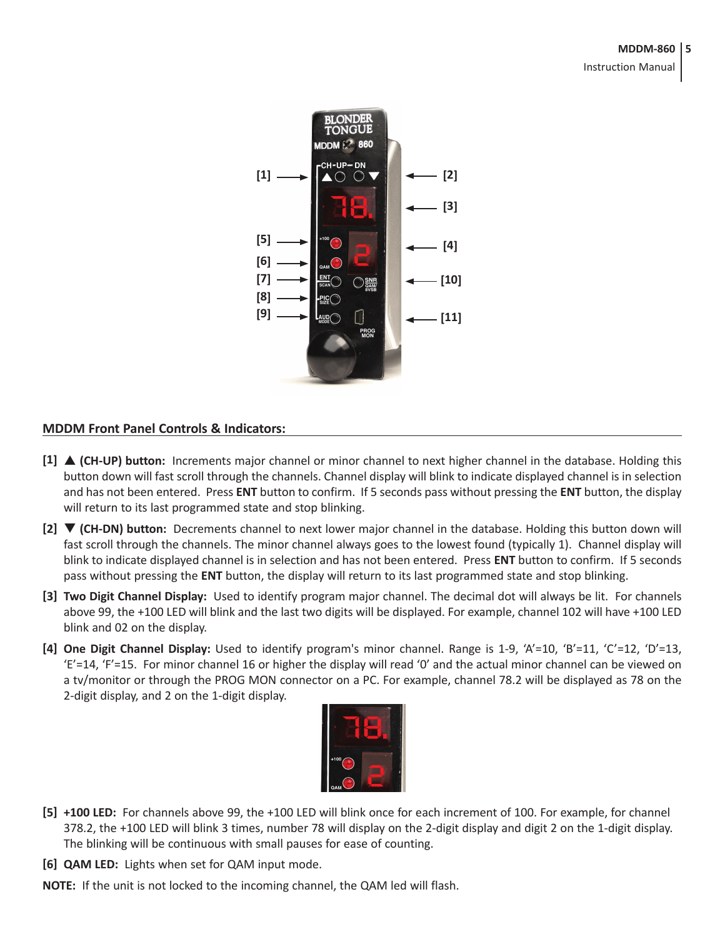#### **MDDM-860 5**

Instruction Manual



#### **MDDM Front Panel Controls & Indicators:**

- **[1]** p **(CH-UP) button:** Increments major channel or minor channel to next higher channel in the database. Holding this button down will fast scroll through the channels. Channel display will blink to indicate displayed channel is in selection and has not been entered. Press **ENT** button to confirm. If 5 seconds pass without pressing the **ENT** button, the display will return to its last programmed state and stop blinking.
- **[2]** q **(CH-DN) button:** Decrements channel to next lower major channel in the database. Holding this button down will fast scroll through the channels. The minor channel always goes to the lowest found (typically 1). Channel display will blink to indicate displayed channel is in selection and has not been entered. Press **ENT** button to confirm. If 5 seconds pass without pressing the **ENT** button, the display will return to its last programmed state and stop blinking.
- **[3] Two Digit Channel Display:** Used to identify program major channel. The decimal dot will always be lit. For channels above 99, the +100 LED will blink and the last two digits will be displayed. For example, channel 102 will have +100 LED blink and 02 on the display.
- **[4] One Digit Channel Display:** Used to identify program's minor channel. Range is 1-9, 'A'=10, 'B'=11, 'C'=12, 'D'=13, 'E'=14, 'F'=15. For minor channel 16 or higher the display will read '0' and the actual minor channel can be viewed on a tv/monitor or through the PROG MON connector on a PC. For example, channel 78.2 will be displayed as 78 on the 2-digit display, and 2 on the 1-digit display.



- **[5] +100 LED:** For channels above 99, the +100 LED will blink once for each increment of 100. For example, for channel 378.2, the +100 LED will blink 3 times, number 78 will display on the 2-digit display and digit 2 on the 1-digit display. The blinking will be continuous with small pauses for ease of counting.
- **[6] QAM LED:** Lights when set for QAM input mode.
- **NOTE:** If the unit is not locked to the incoming channel, the QAM led will flash.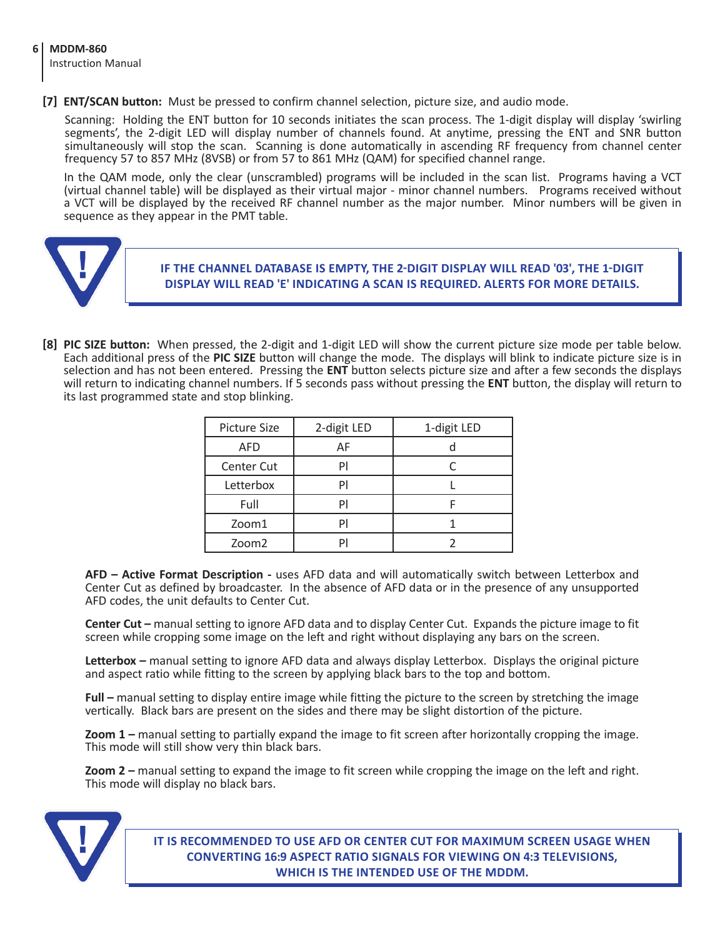**[7] ENT/SCAN button:** Must be pressed to confirm channel selection, picture size, and audio mode.

Scanning: Holding the ENT button for 10 seconds initiates the scan process. The 1-digit display will display 'swirling segments', the 2-digit LED will display number of channels found. At anytime, pressing the ENT and SNR button simultaneously will stop the scan. Scanning is done automatically in ascending RF frequency from channel center frequency 57 to 857 MHz (8VSB) or from 57 to 861 MHz (QAM) for specified channel range.

In the QAM mode, only the clear (unscrambled) programs will be included in the scan list. Programs having a VCT (virtual channel table) will be displayed as their virtual major - minor channel numbers. Programs received without a VCT will be displayed by the received RF channel number as the major number. Minor numbers will be given in sequence as they appear in the PMT table.



**If the channel database is empty, the 2-dIgit display will read '03', the 1-digit display will read 'E' indicating a scan is required. Alerts for more details.**

**[8] PIC SIZE button:** When pressed, the 2-digit and 1-digit LED will show the current picture size mode per table below. Each additional press of the **PIC SIZE** button will change the mode. The displays will blink to indicate picture size is in selection and has not been entered. Pressing the **ENT** button selects picture size and after a few seconds the displays will return to indicating channel numbers. If 5 seconds pass without pressing the **ENT** button, the display will return to its last programmed state and stop blinking.

| <b>Picture Size</b> | 2-digit LED | 1-digit LED |
|---------------------|-------------|-------------|
| <b>AFD</b>          | AF          |             |
| <b>Center Cut</b>   |             |             |
| Letterbox           |             |             |
| Full                |             |             |
| Zoom1               |             |             |
| Zoom <sub>2</sub>   |             |             |

**AFD – Active Format Description -** uses AFD data and will automatically switch between Letterbox and Center Cut as defined by broadcaster. In the absence of AFD data or in the presence of any unsupported AFD codes, the unit defaults to Center Cut.

**Center Cut –** manual setting to ignore AFD data and to display Center Cut. Expands the picture image to fit screen while cropping some image on the left and right without displaying any bars on the screen.

**Letterbox –** manual setting to ignore AFD data and always display Letterbox. Displays the original picture and aspect ratio while fitting to the screen by applying black bars to the top and bottom.

**Full –** manual setting to display entire image while fitting the picture to the screen by stretching the image vertically. Black bars are present on the sides and there may be slight distortion of the picture.

**Zoom 1 –** manual setting to partially expand the image to fit screen after horizontally cropping the image. This mode will still show very thin black bars.

**Zoom 2 –** manual setting to expand the image to fit screen while cropping the image on the left and right. This mode will display no black bars.



**It is recommended to use AFD or Center Cut for maximum screen usage when converting 16:9 aspect ratio signals for viewing on 4:3 televisions, WHICH IS the INTENDED use of the MDDM.**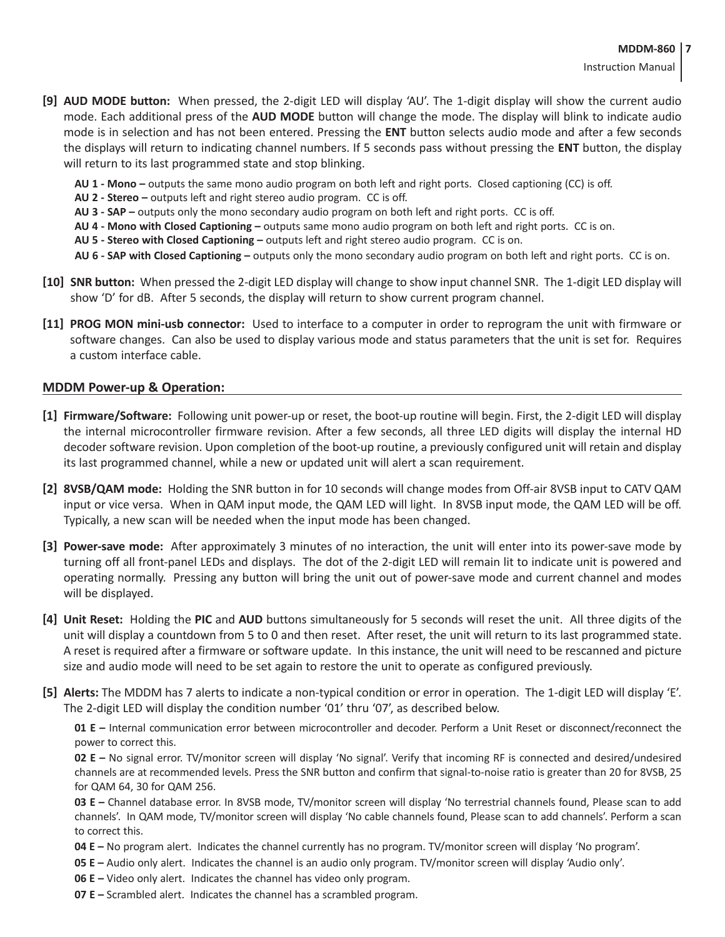- **[9] AUD MODE button:** When pressed, the 2-digit LED will display 'AU'. The 1-digit display will show the current audio mode. Each additional press of the **AUD MODE** button will change the mode. The display will blink to indicate audio mode is in selection and has not been entered. Pressing the **ENT** button selects audio mode and after a few seconds the displays will return to indicating channel numbers. If 5 seconds pass without pressing the **ENT** button, the display will return to its last programmed state and stop blinking.
	- **AU 1 - Mono –** outputs the same mono audio program on both left and right ports. Closed captioning (CC) is off.
	- **AU 2 - Stereo –** outputs left and right stereo audio program. CC is off.
	- **AU 3 - SAP –** outputs only the mono secondary audio program on both left and right ports. CC is off.
	- **AU 4 - Mono with Closed Captioning –** outputs same mono audio program on both left and right ports. CC is on.
	- **AU 5 - Stereo with Closed Captioning –** outputs left and right stereo audio program. CC is on.
	- **AU 6 - SAP with Closed Captioning –** outputs only the mono secondary audio program on both left and right ports. CC is on.
- **[10] SNR button:** When pressed the 2-digit LED display will change to show input channel SNR. The 1-digit LED display will show 'D' for dB. After 5 seconds, the display will return to show current program channel.
- **[11] PROG MON mini-usb connector:** Used to interface to a computer in order to reprogram the unit with firmware or software changes. Can also be used to display various mode and status parameters that the unit is set for. Requires a custom interface cable.

#### **MDDM Power-up & Operation:**

- **[1] Firmware/Software:** Following unit power-up or reset, the boot-up routine will begin. First, the 2-digit LED will display the internal microcontroller firmware revision. After a few seconds, all three LED digits will display the internal HD decoder software revision. Upon completion of the boot-up routine, a previously configured unit will retain and display its last programmed channel, while a new or updated unit will alert a scan requirement.
- **[2] 8VSB/QAM mode:** Holding the SNR button in for 10 seconds will change modes from Off-air 8VSB input to CATV QAM input or vice versa. When in QAM input mode, the QAM LED will light. In 8VSB input mode, the QAM LED will be off. Typically, a new scan will be needed when the input mode has been changed.
- **[3] Power-save mode:** After approximately 3 minutes of no interaction, the unit will enter into its power-save mode by turning off all front-panel LEDs and displays. The dot of the 2-digit LED will remain lit to indicate unit is powered and operating normally. Pressing any button will bring the unit out of power-save mode and current channel and modes will be displayed.
- **[4] Unit Reset:** Holding the **PIC** and **AUD** buttons simultaneously for 5 seconds will reset the unit. All three digits of the unit will display a countdown from 5 to 0 and then reset. After reset, the unit will return to its last programmed state. A reset is required after a firmware or software update. In this instance, the unit will need to be rescanned and picture size and audio mode will need to be set again to restore the unit to operate as configured previously.
- **[5] Alerts:** The MDDM has 7 alerts to indicate a non-typical condition or error in operation. The 1-digit LED will display 'E'. The 2-digit LED will display the condition number '01' thru '07', as described below.

**01 E –** Internal communication error between microcontroller and decoder. Perform a Unit Reset or disconnect/reconnect the power to correct this.

**02 E –** No signal error. TV/monitor screen will display 'No signal'. Verify that incoming RF is connected and desired/undesired channels are at recommended levels. Press the SNR button and confirm that signal-to-noise ratio is greater than 20 for 8VSB, 25 for QAM 64, 30 for QAM 256.

**03 E –** Channel database error. In 8VSB mode, TV/monitor screen will display 'No terrestrial channels found, Please scan to add channels'. In QAM mode, TV/monitor screen will display 'No cable channels found, Please scan to add channels'. Perform a scan to correct this.

- **04 E –** No program alert. Indicates the channel currently has no program. TV/monitor screen will display 'No program'.
- **05 E –** Audio only alert. Indicates the channel is an audio only program. TV/monitor screen will display 'Audio only'.
- **06 E –** Video only alert. Indicates the channel has video only program.
- **07 E –** Scrambled alert. Indicates the channel has a scrambled program.